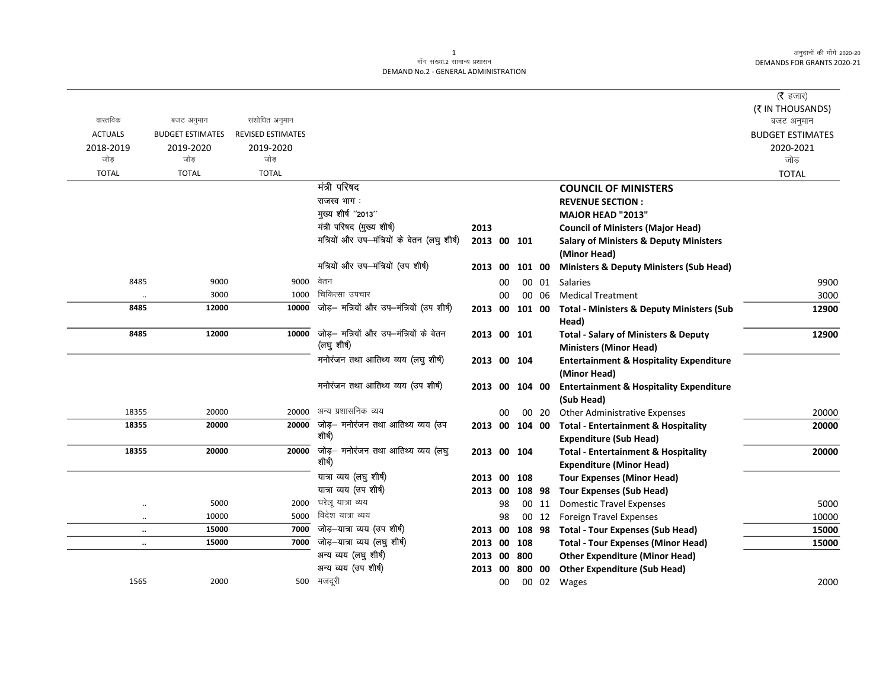अनुदानों की माँगें 2020-20 DEMANDS FOR GRANTS 2020-21

## .<br>माँग संख्या.2 सामान्य प्रशासन DEMAND No.2 - GENERAL ADMINISTRATION

|                      |                         |                          |                                                       |                |    |        |       |                                                                                  | (रै हजार)               |
|----------------------|-------------------------|--------------------------|-------------------------------------------------------|----------------|----|--------|-------|----------------------------------------------------------------------------------|-------------------------|
|                      |                         |                          |                                                       |                |    |        |       |                                                                                  | (₹ IN THOUSANDS)        |
| वास्तविक             | बजट अनुमान              | संशोधित अनुमान           |                                                       |                |    |        |       |                                                                                  | बजट अनुमान              |
| <b>ACTUALS</b>       | <b>BUDGET ESTIMATES</b> | <b>REVISED ESTIMATES</b> |                                                       |                |    |        |       |                                                                                  | <b>BUDGET ESTIMATES</b> |
| 2018-2019<br>जोड     | 2019-2020<br>जोड        | 2019-2020<br>जोड         |                                                       |                |    |        |       |                                                                                  | 2020-2021               |
|                      |                         |                          |                                                       |                |    |        |       |                                                                                  | जोड़                    |
| <b>TOTAL</b>         | <b>TOTAL</b>            | <b>TOTAL</b>             |                                                       |                |    |        |       |                                                                                  | <b>TOTAL</b>            |
|                      |                         |                          | मंत्री परिषद                                          |                |    |        |       | <b>COUNCIL OF MINISTERS</b>                                                      |                         |
|                      |                         |                          | राजस्व भाग:                                           |                |    |        |       | <b>REVENUE SECTION:</b>                                                          |                         |
|                      |                         |                          | मुख्य शीर्ष "2013"                                    |                |    |        |       | MAJOR HEAD "2013"                                                                |                         |
|                      |                         |                          | मंत्री परिषद (मुख्य शीर्ष)                            | 2013           |    |        |       | <b>Council of Ministers (Major Head)</b>                                         |                         |
|                      |                         |                          | मत्रियों और उप-मंत्रियों के वेतन (लघु शीर्ष)          | 2013 00 101    |    |        |       | <b>Salary of Ministers &amp; Deputy Ministers</b><br>(Minor Head)                |                         |
|                      |                         |                          | मत्रियों और उप-मंत्रियों (उप शीर्ष)                   | 2013 00        |    | 101 00 |       | <b>Ministers &amp; Deputy Ministers (Sub Head)</b>                               |                         |
| 8485                 | 9000                    | 9000                     | वेतन                                                  |                | 00 |        |       | 00 01 Salaries                                                                   | 9900                    |
| $\cdot\cdot$         | 3000                    | 1000                     | चिकित्सा उपचार                                        |                | 00 |        | 00 06 | <b>Medical Treatment</b>                                                         | 3000                    |
| 8485                 | 12000                   | 10000                    | जोड़- मत्रियों और उप-मंत्रियों (उप शीर्ष)             | 2013 00        |    | 101 00 |       | <b>Total - Ministers &amp; Deputy Ministers (Sub</b><br>Head)                    | 12900                   |
| 8485                 | 12000                   | 10000                    | जोड़— मत्रियों और उप—मंत्रियों के वेतन<br>(लघु शीर्ष) | 2013 00 101    |    |        |       | <b>Total - Salary of Ministers &amp; Deputy</b><br><b>Ministers (Minor Head)</b> | 12900                   |
|                      |                         |                          | मनोरंजन तथा आतिथ्य व्यय (लघु शीर्ष)                   | 2013 00 104    |    |        |       | <b>Entertainment &amp; Hospitality Expenditure</b><br>(Minor Head)               |                         |
|                      |                         |                          | मनोरंजन तथा आतिथ्य व्यय (उप शीर्ष)                    | 2013 00 104 00 |    |        |       | <b>Entertainment &amp; Hospitality Expenditure</b><br>(Sub Head)                 |                         |
| 18355                | 20000                   | 20000                    | अन्य प्रशासनिक व्यय                                   |                | 00 |        | 00 20 | <b>Other Administrative Expenses</b>                                             | 20000                   |
| 18355                | 20000                   | 20000                    | जोड़– मनोरंजन तथा आतिथ्य व्यय (उप                     | 2013 00 104 00 |    |        |       | <b>Total - Entertainment &amp; Hospitality</b>                                   | 20000                   |
|                      |                         |                          | शीर्ष)                                                |                |    |        |       | <b>Expenditure (Sub Head)</b>                                                    |                         |
| 18355                | 20000                   | 20000                    | जोड़— मनोरंजन तथा आतिथ्य व्यय (लघु                    | 2013 00 104    |    |        |       | <b>Total - Entertainment &amp; Hospitality</b>                                   | 20000                   |
|                      |                         |                          | शीर्ष)                                                |                |    |        |       | <b>Expenditure (Minor Head)</b>                                                  |                         |
|                      |                         |                          | यात्रा व्यय (लघु शीर्ष)                               | 2013           | 00 | 108    |       | <b>Tour Expenses (Minor Head)</b>                                                |                         |
|                      |                         |                          | यात्रा व्यय (उप शीर्ष)                                | 2013 00        |    | 108 98 |       | <b>Tour Expenses (Sub Head)</b>                                                  |                         |
| $\ddot{\phantom{0}}$ | 5000                    | 2000                     | घरेलू यात्रा व्यय                                     |                | 98 |        | 00 11 | <b>Domestic Travel Expenses</b>                                                  | 5000                    |
| $\ddot{\phantom{a}}$ | 10000                   | 5000                     | विदेश यात्रा व्यय                                     |                | 98 |        | 00 12 | <b>Foreign Travel Expenses</b>                                                   | 10000                   |
| $\ddot{\phantom{a}}$ | 15000                   | 7000                     | जोड़—यात्रा व्यय (उप शीर्ष)                           | 2013 00        |    |        |       | 108 98 Total - Tour Expenses (Sub Head)                                          | 15000                   |
| $\ddot{\phantom{a}}$ | 15000                   | 7000                     | जोड़-यात्रा व्यय (लघु शीर्ष)                          | 2013 00 108    |    |        |       | <b>Total - Tour Expenses (Minor Head)</b>                                        | 15000                   |
|                      |                         |                          | अन्य व्यय (लघु शीर्ष)                                 | 2013           | 00 | 800    |       | <b>Other Expenditure (Minor Head)</b>                                            |                         |
|                      |                         |                          | अन्य व्यय (उप शीर्ष)                                  | 2013 00        |    | 800 00 |       | <b>Other Expenditure (Sub Head)</b>                                              |                         |
| 1565                 | 2000                    | 500                      | मजदूरी                                                |                | 00 |        |       | 00 02 Wages                                                                      | 2000                    |

 $\mathbf{1}$